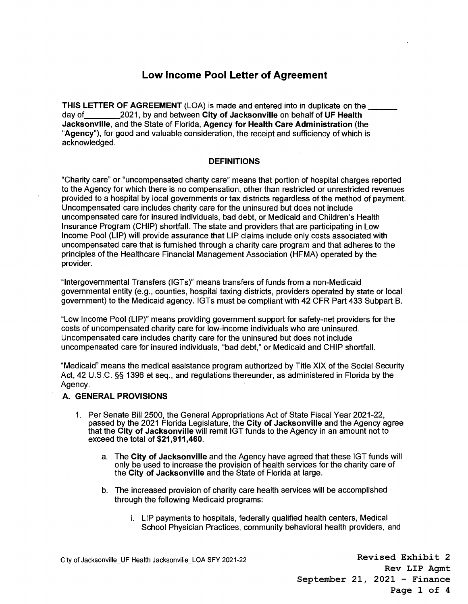# **Low Income Pool Letter of Agreement**

**THIS LETTER OF AGREEMENT** (LOA) is made and entered into in duplicate on the \_\_<br>day of 2021, by and between **City of Jacksonville** on behalf of UF Health 2021, by and between City of Jacksonville on behalf of UF Health **Jacksonville,** and the State of Florida, **Agency for Health Care Administration** (the **"Agency"),** for good and valuable consideration, the receipt and sufficiency of which is acknowledged.

### **DEFINITIONS**

"Charity care" or "uncompensated charity care" means that portion of hospital charges reported to the Agency for which there is no compensation, other than restricted or unrestricted revenues provided to a hospital by local governments or tax districts regardless of the method of payment. Uncompensated care includes charity care for the uninsured but does not include uncompensated care for insured individuals, bad debt, or Medicaid and Children's Health Insurance Program (CHIP) shortfall. The state and providers that are participating in Low Income Pool (LIP) will provide assurance that LIP claims include only costs associated with uncompensated care that is furnished through a charity care program and that adheres to the principles of the Healthcare Financial Management Association (HFMA) operated by the provider.

"Intergovernmental Transfers (IGTs)" means transfers of funds from a non-Medicaid governmental entity (e.g., counties, hospital taxing districts, providers operated by state or local government) to the Medicaid agency. IGTs must be compliant with 42 CFR Part 433 Subpart B.

"Low Income Pool (LIP)" means providing government support for safety-net providers for the costs of uncompensated charity care for low-income individuals who are uninsured. Uncompensated care includes charity care for the uninsured but does not include uncompensated care for insured individuals, "bad debt," or Medicaid and CHIP shortfall.

"Medicaid" means the medical assistance program authorized by Title XIX of the Social Security Act, 42 U.S.C. §§ 1396 et seq., and regulations thereunder, as administered in Florida by the Agency.

### **A. GENERAL PROVISIONS**

- 1. Per Senate Bill 2500, the General Appropriations Act of State Fiscal Year 2021-22, passed by the 2021 Florida Legislature, the **City of Jacksonville** and the Agency agree that the **City of Jacksonville** will remit IGT funds to the Agency in an amount not to exceed the total of **\$21,911,460.** 
	- a. The **City of Jacksonville** and the Agency have agreed that these IGT funds will only be used to increase the provision of health services for the charity care of the **City of Jacksonville** and the State of Florida at large.
	- b. The increased provision of charity care health services will be accomplished through the following Medicaid programs:
		- i. LIP payments to hospitals, federally qualified health centers, Medical School Physician Practices, community behavioral health providers, and

City of Jacksonville\_UF Health Jacksonville\_LOA SFY 2021-22

**Revised Exhibit 2 Rev LIP Agmt September 21, 2021 – Finance Page 1 of 4**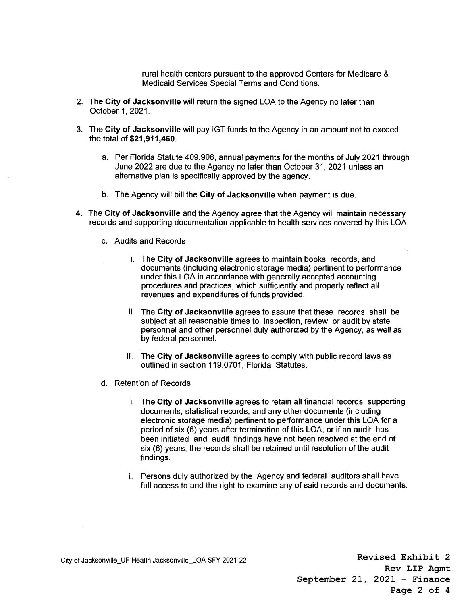rural health centers pursuant to the approved Centers for Medicare & Medicaid Services Special Terms and Conditions.

- 2. The **City of Jacksonville** will return the signed LOA to the Agency no later than October 1, 2021.
- 3. The **City of Jacksonville** will pay IGT funds to the Agency in an amount not to exceed the total of **\$21,911,460.** 
	- a. Per Florida Statute 409.908, annual payments for the months of July 2021 through June 2022 are due to the Agency no later than October 31, 2021 unless an alternative plan is specifically approved by the agency.
	- b. The Agency will bill the **City of Jacksonville** when payment is due.
- 4. The **City of Jacksonville** and the Agency agree that the Agency will maintain necessary records and supporting documentation applicable to health services covered by this LOA.
	- c. Audits and Records
		- i. The **City of Jacksonville** agrees to maintain books, records, and documents (including electronic storage media) pertinent to performance under this LOA in accordance with generally accepted accounting procedures and practices, which sufficiently and properly reflect all revenues and expenditures of funds provided.
		- ii. The **City of Jacksonville** agrees to assure that these records shall be subject at all reasonable times to inspection, review, or audit by state personnel and other personnel duly authorized by the Agency, as well as by federal personnel.
		- iii. The **City of Jacksonville** agrees to comply with public record laws as outlined in section 119.0701, Florida Statutes.
	- d. Retention of Records
		- i. The **City of Jacksonville** agrees to retain all financial records, supporting documents, statistical records, and any other documents (including electronic storage media) pertinent to performance under this LOA for a period of six (6) years after termination of this LOA, or if an audit has been initiated and audit findings have not been resolved at the end of six (6) years, the records shall be retained until resolution of the audit findings.
		- ii. Persons duly authorized by the Agency and federal auditors shall have full access to and the right to examine any of said records and documents.

**Revised Exhibit 2 Rev LIP Agmt September 21, 2021 – Finance Page 2 of 4**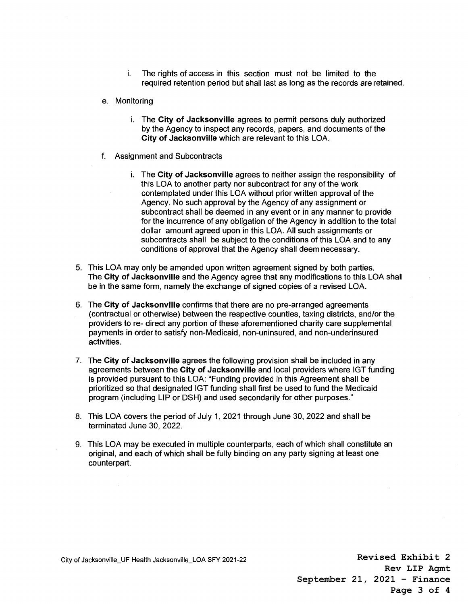- i. The rights of access in this section must not be limited to the required retention period but shall last as long as the records are retained.
- e. Monitoring
	- i. The **City of Jacksonville** agrees to permit persons duly authorized by the Agency to inspect any records, papers, and documents of the **City of Jacksonville** which are relevant to this LOA.
- f. Assignment and Subcontracts
	- i. The **City of Jacksonville** agrees to neither assign the responsibility of this LOA to another party nor subcontract for any of the work contemplated under this LOA without prior written approval of the Agency. No such approval by the Agency of any assignment or subcontract shall be deemed in any event or in any manner to provide for the incurrence of any obligation of the Agency in addition to the total dollar amount agreed upon in this LOA. All such assignments or subcontracts shall be subject to the conditions of this LOA and to any conditions of approval that the Agency shall deem necessary.
- 5. This LOA may only be amended upon written agreement signed by both parties. The **City of Jacksonville** and the Agency agree that any modifications to this LOA shall be in the same form, namely the exchange of signed copies of a revised LOA.
- 6. The **City of Jacksonville** confirms that there are no pre-arranged agreements (contractual or otherwise) between the respective counties, taxing districts, and/or the providers to re- direct any portion of these aforementioned charity care supplemental payments in order to satisfy non-Medicaid, non-uninsured, and non-underinsured activities.
- 7. The **City of Jacksonville** agrees the following provision shall be included in any agreements between the **City of Jacksonville** and local providers where IGT funding is provided pursuant to this LOA: "Funding provided in this Agreement shall be prioritized so that designated IGT funding shall first be used to fund the Medicaid program (including LIP or DSH) and used secondarily for other purposes."
- 8. This LOA covers the period of July 1, 2021 through June 30, 2022 and shall be terminated June 30, 2022.
- 9. This LOA may be executed in multiple counterparts, each of which shall constitute an original, and each of which shall be fully binding on any party signing at least one counterpart.